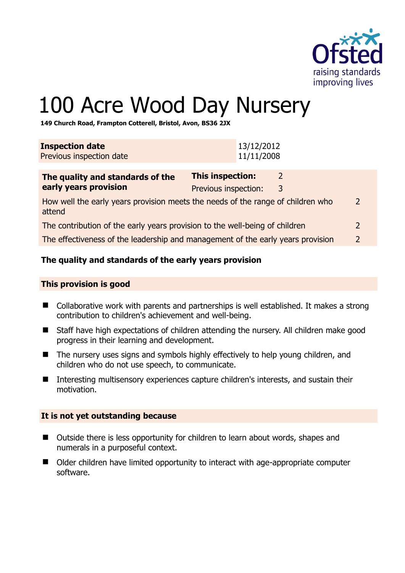

# 100 Acre Wood Day Nursery

**149 Church Road, Frampton Cotterell, Bristol, Avon, BS36 2JX** 

| <b>Inspection date</b><br>Previous inspection date                                        | 13/12/2012<br>11/11/2008                                  |  |
|-------------------------------------------------------------------------------------------|-----------------------------------------------------------|--|
| The quality and standards of the<br>early years provision                                 | <b>This inspection:</b><br>2<br>Previous inspection:<br>3 |  |
| How well the early years provision meets the needs of the range of children who<br>attend |                                                           |  |
| The contribution of the early years provision to the well-being of children               |                                                           |  |
| The effectiveness of the leadership and management of the early years provision           |                                                           |  |

# **The quality and standards of the early years provision**

#### **This provision is good**

- Collaborative work with parents and partnerships is well established. It makes a strong contribution to children's achievement and well-being.
- Staff have high expectations of children attending the nursery. All children make good progress in their learning and development.
- The nursery uses signs and symbols highly effectively to help young children, and children who do not use speech, to communicate.
- Interesting multisensory experiences capture children's interests, and sustain their motivation.

#### **It is not yet outstanding because**

- Outside there is less opportunity for children to learn about words, shapes and numerals in a purposeful context.
- Older children have limited opportunity to interact with age-appropriate computer software.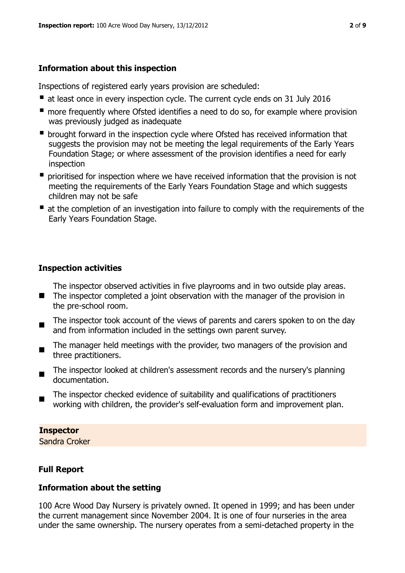# **Information about this inspection**

Inspections of registered early years provision are scheduled:

- at least once in every inspection cycle. The current cycle ends on 31 July 2016
- **n** more frequently where Ofsted identifies a need to do so, for example where provision was previously judged as inadequate
- **•** brought forward in the inspection cycle where Ofsted has received information that suggests the provision may not be meeting the legal requirements of the Early Years Foundation Stage; or where assessment of the provision identifies a need for early inspection
- **P** prioritised for inspection where we have received information that the provision is not meeting the requirements of the Early Years Foundation Stage and which suggests children may not be safe
- at the completion of an investigation into failure to comply with the requirements of the Early Years Foundation Stage.

# **Inspection activities**

- The inspector observed activities in five playrooms and in two outside play areas.
- The inspector completed a joint observation with the manager of the provision in the pre-school room.
- $\blacksquare$ The inspector took account of the views of parents and carers spoken to on the day and from information included in the settings own parent survey.
- $\blacksquare$ The manager held meetings with the provider, two managers of the provision and three practitioners.
- The inspector looked at children's assessment records and the nursery's planning documentation.
- The inspector checked evidence of suitability and qualifications of practitioners working with children, the provider's self-evaluation form and improvement plan.

# **Inspector**

Sandra Croker

# **Full Report**

# **Information about the setting**

100 Acre Wood Day Nursery is privately owned. It opened in 1999; and has been under the current management since November 2004. It is one of four nurseries in the area under the same ownership. The nursery operates from a semi-detached property in the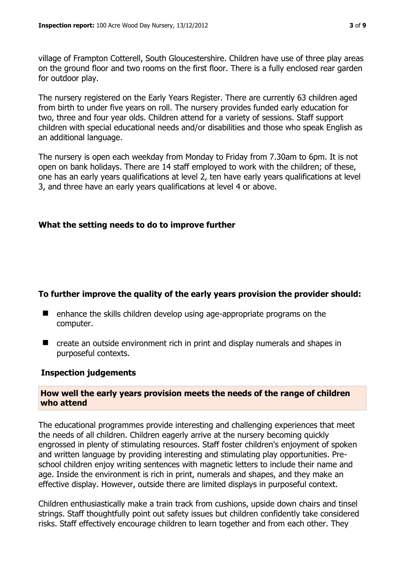village of Frampton Cotterell, South Gloucestershire. Children have use of three play areas on the ground floor and two rooms on the first floor. There is a fully enclosed rear garden for outdoor play.

The nursery registered on the Early Years Register. There are currently 63 children aged from birth to under five years on roll. The nursery provides funded early education for two, three and four year olds. Children attend for a variety of sessions. Staff support children with special educational needs and/or disabilities and those who speak English as an additional language.

The nursery is open each weekday from Monday to Friday from 7.30am to 6pm. It is not open on bank holidays. There are 14 staff employed to work with the children; of these, one has an early years qualifications at level 2, ten have early years qualifications at level 3, and three have an early years qualifications at level 4 or above.

#### **What the setting needs to do to improve further**

#### **To further improve the quality of the early years provision the provider should:**

- enhance the skills children develop using age-appropriate programs on the computer.
- create an outside environment rich in print and display numerals and shapes in purposeful contexts.

#### **Inspection judgements**

#### **How well the early years provision meets the needs of the range of children who attend**

The educational programmes provide interesting and challenging experiences that meet the needs of all children. Children eagerly arrive at the nursery becoming quickly engrossed in plenty of stimulating resources. Staff foster children's enjoyment of spoken and written language by providing interesting and stimulating play opportunities. Preschool children enjoy writing sentences with magnetic letters to include their name and age. Inside the environment is rich in print, numerals and shapes, and they make an effective display. However, outside there are limited displays in purposeful context.

Children enthusiastically make a train track from cushions, upside down chairs and tinsel strings. Staff thoughtfully point out safety issues but children confidently take considered risks. Staff effectively encourage children to learn together and from each other. They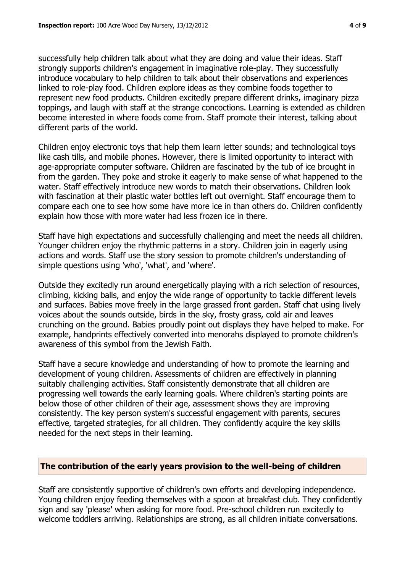successfully help children talk about what they are doing and value their ideas. Staff strongly supports children's engagement in imaginative role-play. They successfully introduce vocabulary to help children to talk about their observations and experiences linked to role-play food. Children explore ideas as they combine foods together to represent new food products. Children excitedly prepare different drinks, imaginary pizza toppings, and laugh with staff at the strange concoctions. Learning is extended as children become interested in where foods come from. Staff promote their interest, talking about different parts of the world.

Children enjoy electronic toys that help them learn letter sounds; and technological toys like cash tills, and mobile phones. However, there is limited opportunity to interact with age-appropriate computer software. Children are fascinated by the tub of ice brought in from the garden. They poke and stroke it eagerly to make sense of what happened to the water. Staff effectively introduce new words to match their observations. Children look with fascination at their plastic water bottles left out overnight. Staff encourage them to compare each one to see how some have more ice in than others do. Children confidently explain how those with more water had less frozen ice in there.

Staff have high expectations and successfully challenging and meet the needs all children. Younger children enjoy the rhythmic patterns in a story. Children join in eagerly using actions and words. Staff use the story session to promote children's understanding of simple questions using 'who', 'what', and 'where'.

Outside they excitedly run around energetically playing with a rich selection of resources, climbing, kicking balls, and enjoy the wide range of opportunity to tackle different levels and surfaces. Babies move freely in the large grassed front garden. Staff chat using lively voices about the sounds outside, birds in the sky, frosty grass, cold air and leaves crunching on the ground. Babies proudly point out displays they have helped to make. For example, handprints effectively converted into menorahs displayed to promote children's awareness of this symbol from the Jewish Faith.

Staff have a secure knowledge and understanding of how to promote the learning and development of young children. Assessments of children are effectively in planning suitably challenging activities. Staff consistently demonstrate that all children are progressing well towards the early learning goals. Where children's starting points are below those of other children of their age, assessment shows they are improving consistently. The key person system's successful engagement with parents, secures effective, targeted strategies, for all children. They confidently acquire the key skills needed for the next steps in their learning.

#### **The contribution of the early years provision to the well-being of children**

Staff are consistently supportive of children's own efforts and developing independence. Young children enjoy feeding themselves with a spoon at breakfast club. They confidently sign and say 'please' when asking for more food. Pre-school children run excitedly to welcome toddlers arriving. Relationships are strong, as all children initiate conversations.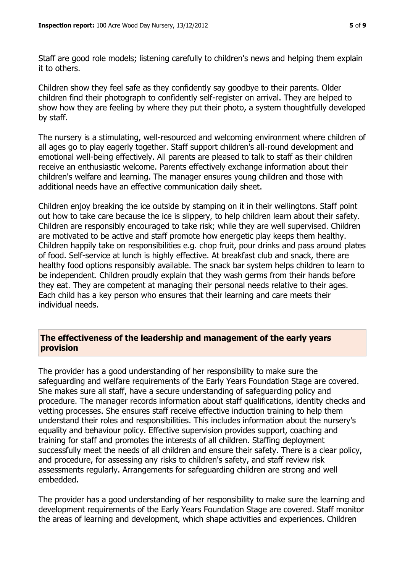Staff are good role models; listening carefully to children's news and helping them explain it to others.

Children show they feel safe as they confidently say goodbye to their parents. Older children find their photograph to confidently self-register on arrival. They are helped to show how they are feeling by where they put their photo, a system thoughtfully developed by staff.

The nursery is a stimulating, well-resourced and welcoming environment where children of all ages go to play eagerly together. Staff support children's all-round development and emotional well-being effectively. All parents are pleased to talk to staff as their children receive an enthusiastic welcome. Parents effectively exchange information about their children's welfare and learning. The manager ensures young children and those with additional needs have an effective communication daily sheet.

Children enjoy breaking the ice outside by stamping on it in their wellingtons. Staff point out how to take care because the ice is slippery, to help children learn about their safety. Children are responsibly encouraged to take risk; while they are well supervised. Children are motivated to be active and staff promote how energetic play keeps them healthy. Children happily take on responsibilities e.g. chop fruit, pour drinks and pass around plates of food. Self-service at lunch is highly effective. At breakfast club and snack, there are healthy food options responsibly available. The snack bar system helps children to learn to be independent. Children proudly explain that they wash germs from their hands before they eat. They are competent at managing their personal needs relative to their ages. Each child has a key person who ensures that their learning and care meets their individual needs.

# **The effectiveness of the leadership and management of the early years provision**

The provider has a good understanding of her responsibility to make sure the safeguarding and welfare requirements of the Early Years Foundation Stage are covered. She makes sure all staff, have a secure understanding of safeguarding policy and procedure. The manager records information about staff qualifications, identity checks and vetting processes. She ensures staff receive effective induction training to help them understand their roles and responsibilities. This includes information about the nursery's equality and behaviour policy. Effective supervision provides support, coaching and training for staff and promotes the interests of all children. Staffing deployment successfully meet the needs of all children and ensure their safety. There is a clear policy, and procedure, for assessing any risks to children's safety, and staff review risk assessments regularly. Arrangements for safeguarding children are strong and well embedded.

The provider has a good understanding of her responsibility to make sure the learning and development requirements of the Early Years Foundation Stage are covered. Staff monitor the areas of learning and development, which shape activities and experiences. Children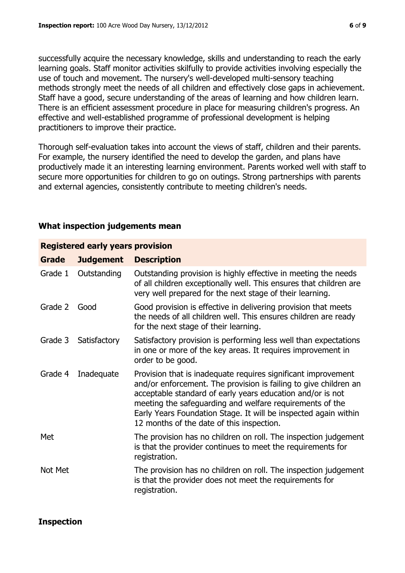successfully acquire the necessary knowledge, skills and understanding to reach the early learning goals. Staff monitor activities skilfully to provide activities involving especially the use of touch and movement. The nursery's well-developed multi-sensory teaching methods strongly meet the needs of all children and effectively close gaps in achievement. Staff have a good, secure understanding of the areas of learning and how children learn. There is an efficient assessment procedure in place for measuring children's progress. An effective and well-established programme of professional development is helping practitioners to improve their practice.

Thorough self-evaluation takes into account the views of staff, children and their parents. For example, the nursery identified the need to develop the garden, and plans have productively made it an interesting learning environment. Parents worked well with staff to secure more opportunities for children to go on outings. Strong partnerships with parents and external agencies, consistently contribute to meeting children's needs.

#### **What inspection judgements mean**

| <b>Grade</b> | <b>Judgement</b> | <b>Description</b>                                                                                                                                                                                                                                                                                                                                                          |
|--------------|------------------|-----------------------------------------------------------------------------------------------------------------------------------------------------------------------------------------------------------------------------------------------------------------------------------------------------------------------------------------------------------------------------|
| Grade 1      | Outstanding      | Outstanding provision is highly effective in meeting the needs<br>of all children exceptionally well. This ensures that children are<br>very well prepared for the next stage of their learning.                                                                                                                                                                            |
| Grade 2      | Good             | Good provision is effective in delivering provision that meets<br>the needs of all children well. This ensures children are ready<br>for the next stage of their learning.                                                                                                                                                                                                  |
| Grade 3      | Satisfactory     | Satisfactory provision is performing less well than expectations<br>in one or more of the key areas. It requires improvement in<br>order to be good.                                                                                                                                                                                                                        |
| Grade 4      | Inadequate       | Provision that is inadequate requires significant improvement<br>and/or enforcement. The provision is failing to give children an<br>acceptable standard of early years education and/or is not<br>meeting the safeguarding and welfare requirements of the<br>Early Years Foundation Stage. It will be inspected again within<br>12 months of the date of this inspection. |
| Met          |                  | The provision has no children on roll. The inspection judgement<br>is that the provider continues to meet the requirements for<br>registration.                                                                                                                                                                                                                             |
| Not Met      |                  | The provision has no children on roll. The inspection judgement<br>is that the provider does not meet the requirements for<br>registration.                                                                                                                                                                                                                                 |

#### **Registered early years provision**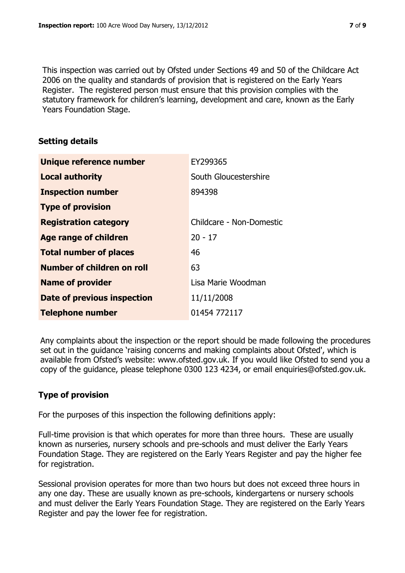This inspection was carried out by Ofsted under Sections 49 and 50 of the Childcare Act 2006 on the quality and standards of provision that is registered on the Early Years Register. The registered person must ensure that this provision complies with the statutory framework for children's learning, development and care, known as the Early Years Foundation Stage.

#### **Setting details**

| Unique reference number       | EY299365                 |
|-------------------------------|--------------------------|
| <b>Local authority</b>        | South Gloucestershire    |
| <b>Inspection number</b>      | 894398                   |
| <b>Type of provision</b>      |                          |
| <b>Registration category</b>  | Childcare - Non-Domestic |
| <b>Age range of children</b>  | $20 - 17$                |
| <b>Total number of places</b> | 46                       |
| Number of children on roll    | 63                       |
| <b>Name of provider</b>       | Lisa Marie Woodman       |
| Date of previous inspection   | 11/11/2008               |
| <b>Telephone number</b>       | 01454 772117             |

Any complaints about the inspection or the report should be made following the procedures set out in the guidance 'raising concerns and making complaints about Ofsted', which is available from Ofsted's website: www.ofsted.gov.uk. If you would like Ofsted to send you a copy of the guidance, please telephone 0300 123 4234, or email enquiries@ofsted.gov.uk.

# **Type of provision**

For the purposes of this inspection the following definitions apply:

Full-time provision is that which operates for more than three hours. These are usually known as nurseries, nursery schools and pre-schools and must deliver the Early Years Foundation Stage. They are registered on the Early Years Register and pay the higher fee for registration.

Sessional provision operates for more than two hours but does not exceed three hours in any one day. These are usually known as pre-schools, kindergartens or nursery schools and must deliver the Early Years Foundation Stage. They are registered on the Early Years Register and pay the lower fee for registration.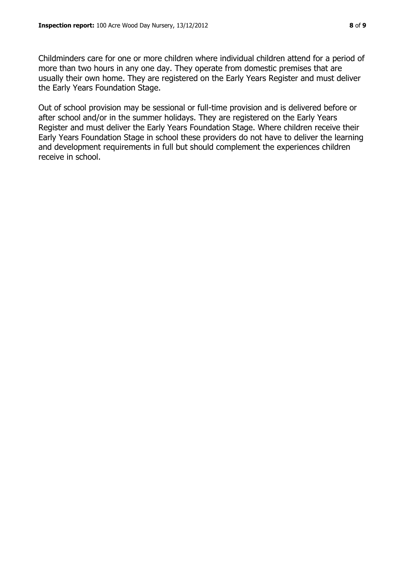Childminders care for one or more children where individual children attend for a period of more than two hours in any one day. They operate from domestic premises that are usually their own home. They are registered on the Early Years Register and must deliver the Early Years Foundation Stage.

Out of school provision may be sessional or full-time provision and is delivered before or after school and/or in the summer holidays. They are registered on the Early Years Register and must deliver the Early Years Foundation Stage. Where children receive their Early Years Foundation Stage in school these providers do not have to deliver the learning and development requirements in full but should complement the experiences children receive in school.